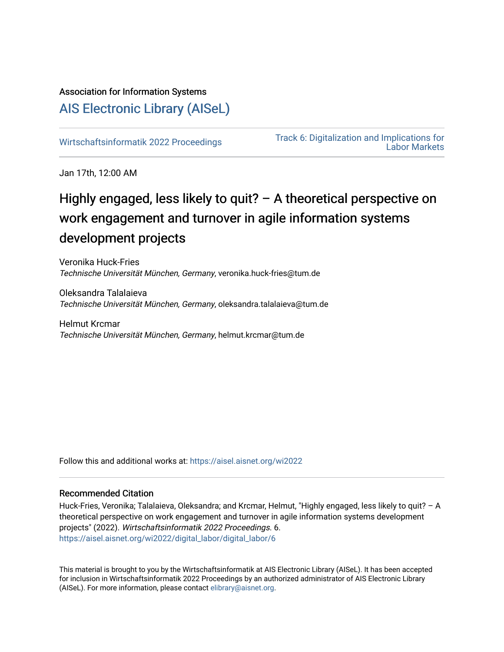# Association for Information Systems

# [AIS Electronic Library \(AISeL\)](https://aisel.aisnet.org/)

[Wirtschaftsinformatik 2022 Proceedings](https://aisel.aisnet.org/wi2022) Track 6: Digitalization and Implications for [Labor Markets](https://aisel.aisnet.org/wi2022/digital_labor) 

Jan 17th, 12:00 AM

# Highly engaged, less likely to quit? – A theoretical perspective on work engagement and turnover in agile information systems development projects

Veronika Huck-Fries Technische Universität München, Germany, veronika.huck-fries@tum.de

Oleksandra Talalaieva Technische Universität München, Germany, oleksandra.talalaieva@tum.de

Helmut Krcmar Technische Universität München, Germany, helmut.krcmar@tum.de

Follow this and additional works at: [https://aisel.aisnet.org/wi2022](https://aisel.aisnet.org/wi2022?utm_source=aisel.aisnet.org%2Fwi2022%2Fdigital_labor%2Fdigital_labor%2F6&utm_medium=PDF&utm_campaign=PDFCoverPages) 

### Recommended Citation

Huck-Fries, Veronika; Talalaieva, Oleksandra; and Krcmar, Helmut, "Highly engaged, less likely to quit? – A theoretical perspective on work engagement and turnover in agile information systems development projects" (2022). Wirtschaftsinformatik 2022 Proceedings. 6. [https://aisel.aisnet.org/wi2022/digital\\_labor/digital\\_labor/6](https://aisel.aisnet.org/wi2022/digital_labor/digital_labor/6?utm_source=aisel.aisnet.org%2Fwi2022%2Fdigital_labor%2Fdigital_labor%2F6&utm_medium=PDF&utm_campaign=PDFCoverPages)

This material is brought to you by the Wirtschaftsinformatik at AIS Electronic Library (AISeL). It has been accepted for inclusion in Wirtschaftsinformatik 2022 Proceedings by an authorized administrator of AIS Electronic Library (AISeL). For more information, please contact [elibrary@aisnet.org](mailto:elibrary@aisnet.org%3E).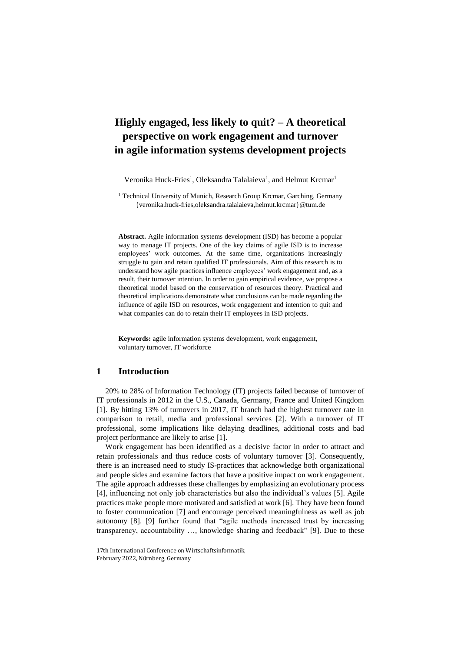# **Highly engaged, less likely to quit? – A theoretical perspective on work engagement and turnover in agile information systems development projects**

Veronika Huck-Fries<sup>1</sup>, Oleksandra Talalaieva<sup>1</sup>, and Helmut Krcmar<sup>1</sup>

<sup>1</sup> Technical University of Munich, Research Group Krcmar, Garching, Germany {veronika.huck-fries,oleksandra.talalaieva,helmut.krcmar}@tum.de

**Abstract.** Agile information systems development (ISD) has become a popular way to manage IT projects. One of the key claims of agile ISD is to increase employees' work outcomes. At the same time, organizations increasingly struggle to gain and retain qualified IT professionals. Aim of this research is to understand how agile practices influence employees' work engagement and, as a result, their turnover intention. In order to gain empirical evidence, we propose a theoretical model based on the conservation of resources theory. Practical and theoretical implications demonstrate what conclusions can be made regarding the influence of agile ISD on resources, work engagement and intention to quit and what companies can do to retain their IT employees in ISD projects.

**Keywords:** agile information systems development, work engagement, voluntary turnover, IT workforce

#### **1 Introduction**

20% to 28% of Information Technology (IT) projects failed because of turnover of IT professionals in 2012 in the U.S., Canada, Germany, France and United Kingdom [1]. By hitting 13% of turnovers in 2017, IT branch had the highest turnover rate in comparison to retail, media and professional services [2]. With a turnover of IT professional, some implications like delaying deadlines, additional costs and bad project performance are likely to arise [1].

Work engagement has been identified as a decisive factor in order to attract and retain professionals and thus reduce costs of voluntary turnover [3]. Consequently, there is an increased need to study IS-practices that acknowledge both organizational and people sides and examine factors that have a positive impact on work engagement. The agile approach addresses these challenges by emphasizing an evolutionary process [4], influencing not only job characteristics but also the individual's values [5]. Agile practices make people more motivated and satisfied at work [6]. They have been found to foster communication [7] and encourage perceived meaningfulness as well as job autonomy [8]. [9] further found that "agile methods increased trust by increasing transparency, accountability …, knowledge sharing and feedback" [9]. Due to these

<sup>17</sup>th International Conference on Wirtschaftsinformatik, February 2022, Nürnberg, Germany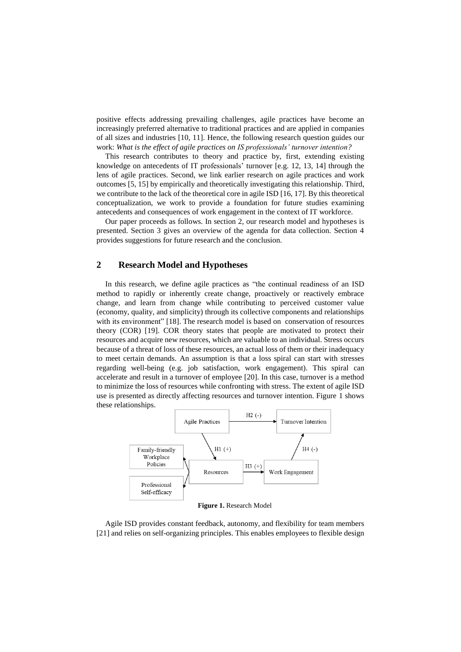positive effects addressing prevailing challenges, agile practices have become an increasingly preferred alternative to traditional practices and are applied in companies of all sizes and industries [10, 11]. Hence, the following research question guides our work: *What is the effect of agile practices on IS professionals' turnover intention?*

This research contributes to theory and practice by, first, extending existing knowledge on antecedents of IT professionals' turnover [e.g. 12, 13, 14] through the lens of agile practices. Second, we link earlier research on agile practices and work outcomes [5, 15] by empirically and theoretically investigating this relationship. Third, we contribute to the lack of the theoretical core in agile ISD [16, 17]. By this theoretical conceptualization, we work to provide a foundation for future studies examining antecedents and consequences of work engagement in the context of IT workforce.

Our paper proceeds as follows. In section 2, our research model and hypotheses is presented. Section 3 gives an overview of the agenda for data collection. Section 4 provides suggestions for future research and the conclusion.

#### **2 Research Model and Hypotheses**

In this research, we define agile practices as "the continual readiness of an ISD method to rapidly or inherently create change, proactively or reactively embrace change, and learn from change while contributing to perceived customer value (economy, quality, and simplicity) through its collective components and relationships with its environment" [18]. The research model is based on conservation of resources theory (COR) [19]. COR theory states that people are motivated to protect their resources and acquire new resources, which are valuable to an individual. Stress occurs because of a threat of loss of these resources, an actual loss of them or their inadequacy to meet certain demands. An assumption is that a loss spiral can start with stresses regarding well-being (e.g. job satisfaction, work engagement). This spiral can accelerate and result in a turnover of employee [20]. In this case, turnover is a method to minimize the loss of resources while confronting with stress. The extent of agile ISD use is presented as directly affecting resources and turnover intention. Figure 1 shows these relationships.



**Figure 1.** Research Model

Agile ISD provides constant feedback, autonomy, and flexibility for team members [21] and relies on self-organizing principles. This enables employees to flexible design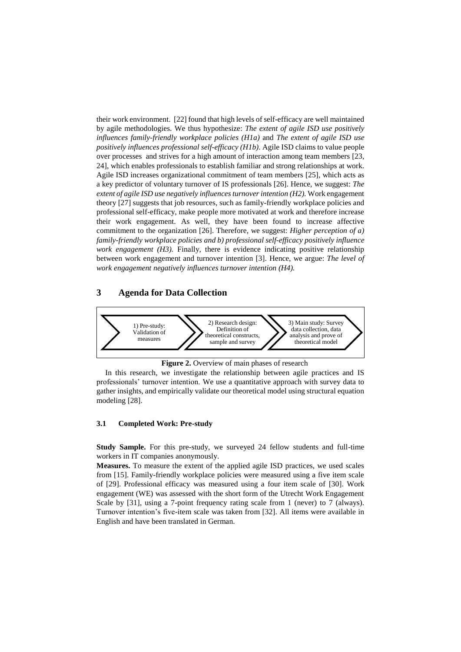their work environment. [22] found that high levels of self-efficacy are well maintained by agile methodologies. We thus hypothesize: *The extent of agile ISD use positively influences family-friendly workplace policies (H1a)* and *The extent of agile ISD use positively influences professional self-efficacy (H1b)*. Agile ISD claims to value people over processes and strives for a high amount of interaction among team members [23, 24], which enables professionals to establish familiar and strong relationships at work. Agile ISD increases organizational commitment of team members [25], which acts as a key predictor of voluntary turnover of IS professionals [26]. Hence, we suggest: *The extent of agile ISD use negatively influencesturnover intention (H2).* Work engagement theory [27] suggests that job resources, such as family-friendly workplace policies and professional self-efficacy, make people more motivated at work and therefore increase their work engagement. As well, they have been found to increase affective commitment to the organization [26]. Therefore, we suggest: *Higher perception of a) family-friendly workplace policies and b) professional self-efficacy positively influence work engagement (H3).* Finally, there is evidence indicating positive relationship between work engagement and turnover intention [3]. Hence, we argue: *The level of work engagement negatively influences turnover intention (H4).*

## **3 Agenda for Data Collection**



**Figure 2.** Overview of main phases of research

In this research, we investigate the relationship between agile practices and IS professionals' turnover intention. We use a quantitative approach with survey data to gather insights, and empirically validate our theoretical model using structural equation modeling [28].

#### **3.1 Completed Work: Pre-study**

**Study Sample.** For this pre-study, we surveyed 24 fellow students and full-time workers in IT companies anonymously.

**Measures.** To measure the extent of the applied agile ISD practices, we used scales from [15]. Family-friendly workplace policies were measured using a five item scale of [29]. Professional efficacy was measured using a four item scale of [30]. Work engagement (WE) was assessed with the short form of the Utrecht Work Engagement Scale by [31], using a 7-point frequency rating scale from 1 (never) to 7 (always). Turnover intention's five-item scale was taken from [32]. All items were available in English and have been translated in German.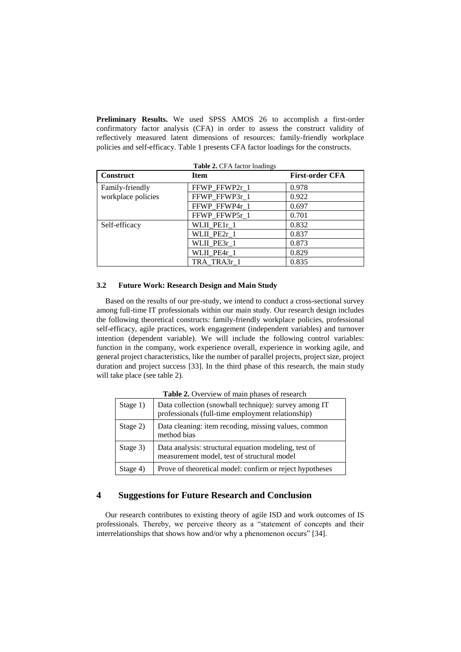**Preliminary Results.** We used SPSS AMOS 26 to accomplish a first-order confirmatory factor analysis (CFA) in order to assess the construct validity of reflectively measured latent dimensions of resources: family-friendly workplace policies and self-efficacy. Table 1 presents CFA factor loadings for the constructs.

| <b>Construct</b>   | <b>Item</b>   | <b>First-order CFA</b> |
|--------------------|---------------|------------------------|
| Family-friendly    | FFWP_FFWP2r_1 | 0.978                  |
| workplace policies | FFWP FFWP3r 1 | 0.922                  |
|                    | FFWP_FFWP4r_1 | 0.697                  |
|                    | FFWP_FFWP5r_1 | 0.701                  |
| Self-efficacy      | WLII PE1r 1   | 0.832                  |
|                    | WLII PE2r 1   | 0.837                  |
|                    | WLII_PE3r_1   | 0.873                  |
|                    | WLII PE4r 1   | 0.829                  |
|                    | TRA TRA3r 1   | 0.835                  |

#### **3.2 Future Work: Research Design and Main Study**

Based on the results of our pre-study, we intend to conduct a cross-sectional survey among full-time IT professionals within our main study. Our research design includes the following theoretical constructs: family-friendly workplace policies, professional self-efficacy, agile practices, work engagement (independent variables) and turnover intention (dependent variable). We will include the following control variables: function in the company, work experience overall, experience in working agile, and general project characteristics, like the number of parallel projects, project size, project duration and project success [33]. In the third phase of this research, the main study will take place (see table 2).

| Stage 1) | Data collection (snowball technique): survey among IT<br>professionals (full-time employment relationship) |
|----------|------------------------------------------------------------------------------------------------------------|
| Stage 2) | Data cleaning: item recoding, missing values, common<br>method bias                                        |
| Stage 3) | Data analysis: structural equation modeling, test of<br>measurement model, test of structural model        |
| Stage 4) | Prove of theoretical model: confirm or reject hypotheses                                                   |

**Table 2.** Overview of main phases of research

## **4 Suggestions for Future Research and Conclusion**

Our research contributes to existing theory of agile ISD and work outcomes of IS professionals. Thereby, we perceive theory as a "statement of concepts and their interrelationships that shows how and/or why a phenomenon occurs" [34].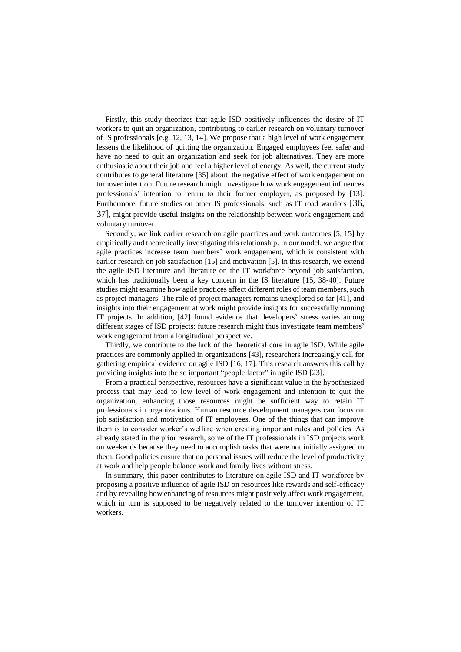Firstly, this study theorizes that agile ISD positively influences the desire of IT workers to quit an organization, contributing to earlier research on voluntary turnover of IS professionals [e.g. 12, 13, 14]. We propose that a high level of work engagement lessens the likelihood of quitting the organization. Engaged employees feel safer and have no need to quit an organization and seek for job alternatives. They are more enthusiastic about their job and feel a higher level of energy. As well, the current study contributes to general literature [35] about the negative effect of work engagement on turnover intention. Future research might investigate how work engagement influences professionals' intention to return to their former employer, as proposed by [13]. Furthermore, future studies on other IS professionals, such as IT road warriors [36, 37], might provide useful insights on the relationship between work engagement and voluntary turnover.

Secondly, we link earlier research on agile practices and work outcomes [5, 15] by empirically and theoretically investigating this relationship. In our model, we argue that agile practices increase team members' work engagement, which is consistent with earlier research on job satisfaction [15] and motivation [5]. In this research, we extend the agile ISD literature and literature on the IT workforce beyond job satisfaction, which has traditionally been a key concern in the IS literature [15, 38-40]. Future studies might examine how agile practices affect different roles of team members, such as project managers. The role of project managers remains unexplored so far [41], and insights into their engagement at work might provide insights for successfully running IT projects. In addition, [42] found evidence that developers' stress varies among different stages of ISD projects; future research might thus investigate team members' work engagement from a longitudinal perspective.

Thirdly, we contribute to the lack of the theoretical core in agile ISD. While agile practices are commonly applied in organizations [43], researchers increasingly call for gathering empirical evidence on agile ISD [16, 17]. This research answers this call by providing insights into the so important "people factor" in agile ISD [23].

From a practical perspective, resources have a significant value in the hypothesized process that may lead to low level of work engagement and intention to quit the organization, enhancing those resources might be sufficient way to retain IT professionals in organizations. Human resource development managers can focus on job satisfaction and motivation of IT employees. One of the things that can improve them is to consider worker's welfare when creating important rules and policies. As already stated in the prior research, some of the IT professionals in ISD projects work on weekends because they need to accomplish tasks that were not initially assigned to them. Good policies ensure that no personal issues will reduce the level of productivity at work and help people balance work and family lives without stress.

In summary, this paper contributes to literature on agile ISD and IT workforce by proposing a positive influence of agile ISD on resources like rewards and self-efficacy and by revealing how enhancing of resources might positively affect work engagement, which in turn is supposed to be negatively related to the turnover intention of IT workers.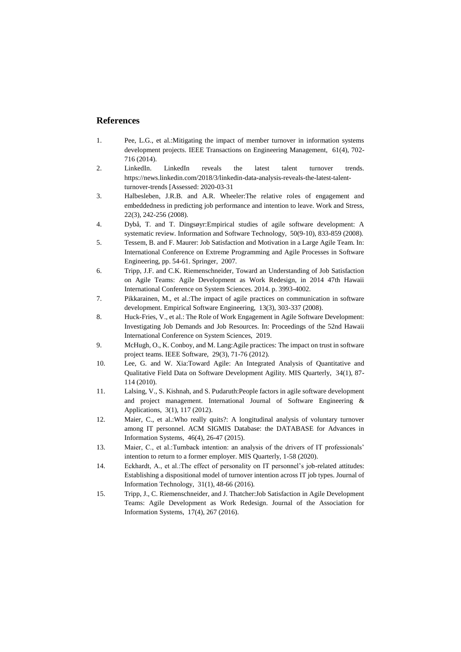#### **References**

- 1. Pee, L.G., et al.:Mitigating the impact of member turnover in information systems development projects. IEEE Transactions on Engineering Management, 61(4), 702- 716 (2014).
- 2. LinkedIn. LinkedIn reveals the latest talent turnover trends. [https://news.linkedin.com/2018/3/linkedin-data-analysis-reveals-the-latest-talent](https://news.linkedin.com/2018/3/linkedin-data-analysis-reveals-the-latest-talent-turnover-trends)[turnover-trends](https://news.linkedin.com/2018/3/linkedin-data-analysis-reveals-the-latest-talent-turnover-trends) [Assessed: 2020-03-31
- 3. Halbesleben, J.R.B. and A.R. Wheeler:The relative roles of engagement and embeddedness in predicting job performance and intention to leave. Work and Stress, 22(3), 242-256 (2008).
- 4. Dybå, T. and T. Dingsøyr:Empirical studies of agile software development: A systematic review. Information and Software Technology, 50(9-10), 833-859 (2008).
- 5. Tessem, B. and F. Maurer: Job Satisfaction and Motivation in a Large Agile Team. In: International Conference on Extreme Programming and Agile Processes in Software Engineering, pp. 54-61. Springer, 2007.
- 6. Tripp, J.F. and C.K. Riemenschneider, Toward an Understanding of Job Satisfaction on Agile Teams: Agile Development as Work Redesign, in 2014 47th Hawaii International Conference on System Sciences. 2014. p. 3993-4002.
- 7. Pikkarainen, M., et al.:The impact of agile practices on communication in software development. Empirical Software Engineering, 13(3), 303-337 (2008).
- 8. Huck-Fries, V., et al.: The Role of Work Engagement in Agile Software Development: Investigating Job Demands and Job Resources. In: Proceedings of the 52nd Hawaii International Conference on System Sciences, 2019.
- 9. McHugh, O., K. Conboy, and M. Lang:Agile practices: The impact on trust in software project teams. IEEE Software, 29(3), 71-76 (2012).
- 10. Lee, G. and W. Xia:Toward Agile: An Integrated Analysis of Quantitative and Qualitative Field Data on Software Development Agility. MIS Quarterly, 34(1), 87- 114 (2010).
- 11. Lalsing, V., S. Kishnah, and S. Pudaruth:People factors in agile software development and project management. International Journal of Software Engineering & Applications, 3(1), 117 (2012).
- 12. Maier, C., et al.:Who really quits?: A longitudinal analysis of voluntary turnover among IT personnel. ACM SIGMIS Database: the DATABASE for Advances in Information Systems, 46(4), 26-47 (2015).
- 13. Maier, C., et al.:Turnback intention: an analysis of the drivers of IT professionals' intention to return to a former employer. MIS Quarterly, 1-58 (2020).
- 14. Eckhardt, A., et al.:The effect of personality on IT personnel's job-related attitudes: Establishing a dispositional model of turnover intention across IT job types. Journal of Information Technology, 31(1), 48-66 (2016).
- 15. Tripp, J., C. Riemenschneider, and J. Thatcher:Job Satisfaction in Agile Development Teams: Agile Development as Work Redesign. Journal of the Association for Information Systems, 17(4), 267 (2016).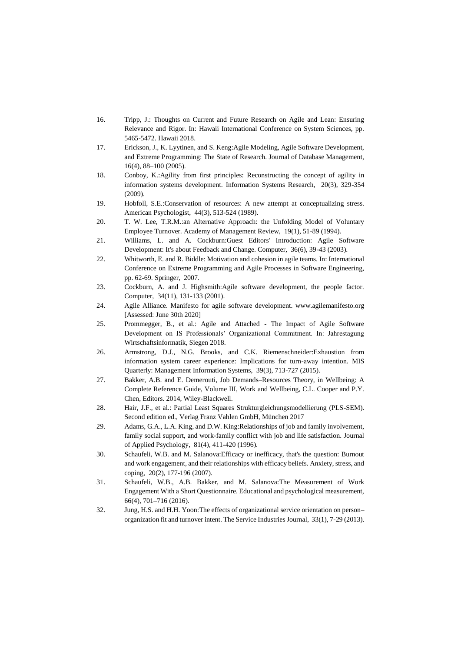- 16. Tripp, J.: Thoughts on Current and Future Research on Agile and Lean: Ensuring Relevance and Rigor. In: Hawaii International Conference on System Sciences, pp. 5465-5472. Hawaii 2018.
- 17. Erickson, J., K. Lyytinen, and S. Keng:Agile Modeling, Agile Software Development, and Extreme Programming: The State of Research. Journal of Database Management, 16(4), 88–100 (2005).
- 18. Conboy, K.:Agility from first principles: Reconstructing the concept of agility in information systems development. Information Systems Research, 20(3), 329-354 (2009).
- 19. Hobfoll, S.E.:Conservation of resources: A new attempt at conceptualizing stress. American Psychologist, 44(3), 513-524 (1989).
- 20. T. W. Lee, T.R.M.:an Alternative Approach: the Unfolding Model of Voluntary Employee Turnover. Academy of Management Review, 19(1), 51-89 (1994).
- 21. Williams, L. and A. Cockburn:Guest Editors' Introduction: Agile Software Development: It's about Feedback and Change. Computer, 36(6), 39-43 (2003).
- 22. Whitworth, E. and R. Biddle: Motivation and cohesion in agile teams. In: International Conference on Extreme Programming and Agile Processes in Software Engineering, pp. 62-69. Springer, 2007.
- 23. Cockburn, A. and J. Highsmith:Agile software development, the people factor. Computer, 34(11), 131-133 (2001).
- 24. Agile Alliance. Manifesto for agile software development. [www.agilemanifesto.org](http://www.agilemanifesto.org/) [Assessed: June 30th 2020]
- 25. Prommegger, B., et al.: Agile and Attached The Impact of Agile Software Development on IS Professionals' Organizational Commitment. In: Jahrestagung Wirtschaftsinformatik, Siegen 2018.
- 26. Armstrong, D.J., N.G. Brooks, and C.K. Riemenschneider:Exhaustion from information system career experience: Implications for turn-away intention. MIS Quarterly: Management Information Systems, 39(3), 713-727 (2015).
- 27. Bakker, A.B. and E. Demerouti, Job Demands–Resources Theory, in Wellbeing: A Complete Reference Guide, Volume III, Work and Wellbeing, C.L. Cooper and P.Y. Chen, Editors. 2014, Wiley-Blackwell.
- 28. Hair, J.F., et al.: Partial Least Squares Strukturgleichungsmodellierung (PLS-SEM). Second edition ed., Verlag Franz Vahlen GmbH, München 2017
- 29. Adams, G.A., L.A. King, and D.W. King:Relationships of job and family involvement, family social support, and work-family conflict with job and life satisfaction. Journal of Applied Psychology, 81(4), 411-420 (1996).
- 30. Schaufeli, W.B. and M. Salanova:Efficacy or inefficacy, that's the question: Burnout and work engagement, and their relationships with efficacy beliefs. Anxiety, stress, and coping, 20(2), 177-196 (2007).
- 31. Schaufeli, W.B., A.B. Bakker, and M. Salanova:The Measurement of Work Engagement With a Short Questionnaire. Educational and psychological measurement, 66(4), 701–716 (2016).
- 32. Jung, H.S. and H.H. Yoon:The effects of organizational service orientation on person– organization fit and turnover intent. The Service Industries Journal, 33(1), 7-29 (2013).